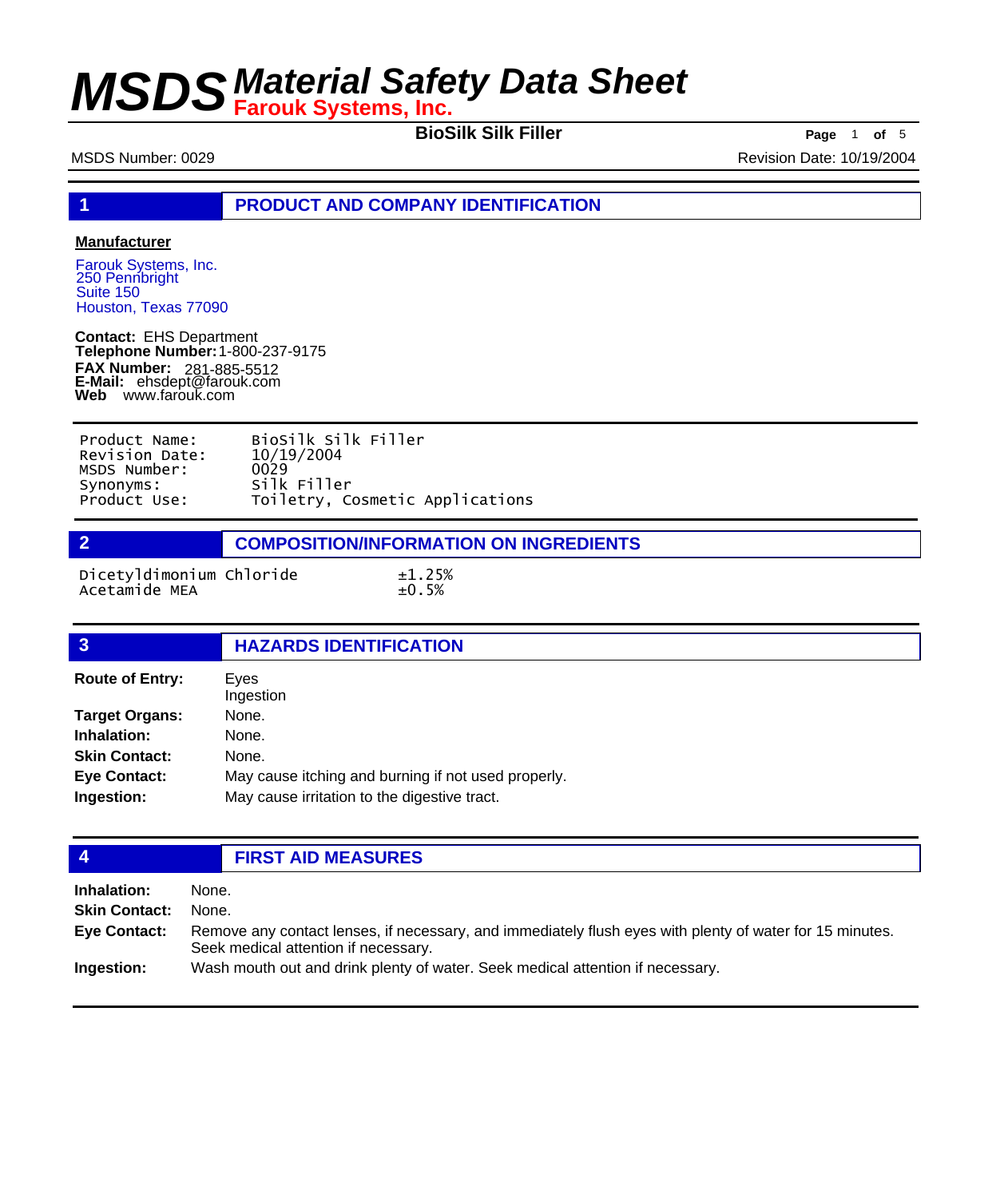**BioSilk Silk Filler Page** <sup>1</sup> **of** <sup>5</sup>

MSDS Number: 0029 **Revision Date: 10/19/2004** 

**1 PRODUCT AND COMPANY IDENTIFICATION**

### **Manufacturer**

Farouk Systems, Inc. 250 Pennbright Suite 150 Houston, Texas 77090

**Contact:** EHS Department **Telephone Number:** 1-800-237-9175 **FAX Number: FAX Number:** 281-885-5512<br>**E-Mail:** ehsdept@farouk.com **Web** www.farouk.com

| Product Name:  | BioSilk Silk Filler             |
|----------------|---------------------------------|
| Revision Date: | 10/19/2004                      |
| MSDS Number:   | 0029                            |
| Synonyms:      | Silk Filler                     |
| Product Use:   | Toiletry, Cosmetic Applications |

**2 COMPOSITION/INFORMATION ON INGREDIENTS**

Dicetyldimonium Chloride  $\pm 1.25\%$ <br>Acetamide MEA  $\pm 0.5\%$ Acetamide MEA

| $\overline{3}$         | <b>HAZARDS IDENTIFICATION</b>                       |
|------------------------|-----------------------------------------------------|
| <b>Route of Entry:</b> | Eyes<br>Ingestion                                   |
| <b>Target Organs:</b>  | None.                                               |
| Inhalation:            | None.                                               |
| <b>Skin Contact:</b>   | None.                                               |
| <b>Eye Contact:</b>    | May cause itching and burning if not used properly. |
| Ingestion:             | May cause irritation to the digestive tract.        |

## **4 FIRST AID MEASURES**

| Inhalation:          | None.                                                                                                                                            |
|----------------------|--------------------------------------------------------------------------------------------------------------------------------------------------|
| <b>Skin Contact:</b> | None.                                                                                                                                            |
| Eye Contact:         | Remove any contact lenses, if necessary, and immediately flush eyes with plenty of water for 15 minutes.<br>Seek medical attention if necessary. |
| Ingestion:           | Wash mouth out and drink plenty of water. Seek medical attention if necessary.                                                                   |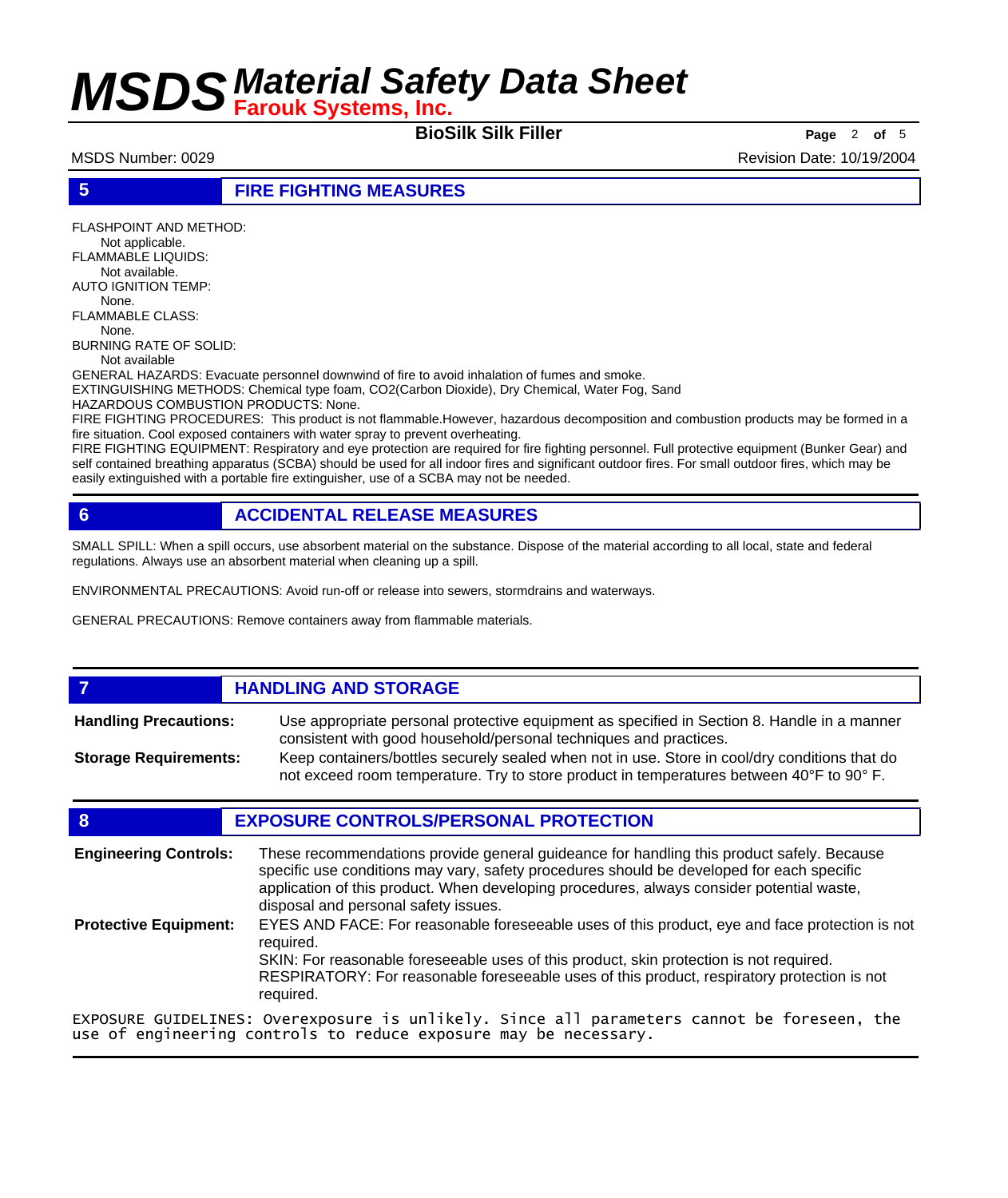**BioSilk Silk Filler Page** <sup>2</sup> **of** <sup>5</sup>

MSDS Number: 0029 **Revision Date: 10/19/2004** Revision Date: 10/19/2004

**5 FIRE FIGHTING MEASURES**

FLASHPOINT AND METHOD: Not applicable. FLAMMABLE LIQUIDS: Not available. AUTO IGNITION TEMP: None. FLAMMABLE CLASS: None.

BURNING RATE OF SOLID: Not available

GENERAL HAZARDS: Evacuate personnel downwind of fire to avoid inhalation of fumes and smoke.

EXTINGUISHING METHODS: Chemical type foam, CO2(Carbon Dioxide), Dry Chemical, Water Fog, Sand

HAZARDOUS COMBUSTION PRODUCTS: None.

FIRE FIGHTING PROCEDURES: This product is not flammable.However, hazardous decomposition and combustion products may be formed in a fire situation. Cool exposed containers with water spray to prevent overheating.

FIRE FIGHTING EQUIPMENT: Respiratory and eye protection are required for fire fighting personnel. Full protective equipment (Bunker Gear) and self contained breathing apparatus (SCBA) should be used for all indoor fires and significant outdoor fires. For small outdoor fires, which may be easily extinguished with a portable fire extinguisher, use of a SCBA may not be needed.

## **6 ACCIDENTAL RELEASE MEASURES**

SMALL SPILL: When a spill occurs, use absorbent material on the substance. Dispose of the material according to all local, state and federal regulations. Always use an absorbent material when cleaning up a spill.

ENVIRONMENTAL PRECAUTIONS: Avoid run-off or release into sewers, stormdrains and waterways.

GENERAL PRECAUTIONS: Remove containers away from flammable materials.

## *HANDLING AND STORAGE*

Use appropriate personal protective equipment as specified in Section 8. Handle in a manner consistent with good household/personal techniques and practices. **Handling Precautions:** Keep containers/bottles securely sealed when not in use. Store in cool/dry conditions that do **Storage Requirements:**

not exceed room temperature. Try to store product in temperatures between 40°F to 90° F.

### **8 EXPOSURE CONTROLS/PERSONAL PROTECTION**

These recommendations provide general guideance for handling this product safely. Because specific use conditions may vary, safety procedures should be developed for each specific application of this product. When developing procedures, always consider potential waste, disposal and personal safety issues. **Engineering Controls:** EYES AND FACE: For reasonable foreseeable uses of this product, eye and face protection is not required. SKIN: For reasonable foreseeable uses of this product, skin protection is not required. RESPIRATORY: For reasonable foreseeable uses of this product, respiratory protection is not required. **Protective Equipment:** EXPOSURE GUIDELINES: Overexposure is unlikely. Since all parameters cannot be foreseen, the

use of engineering controls to reduce exposure may be necessary.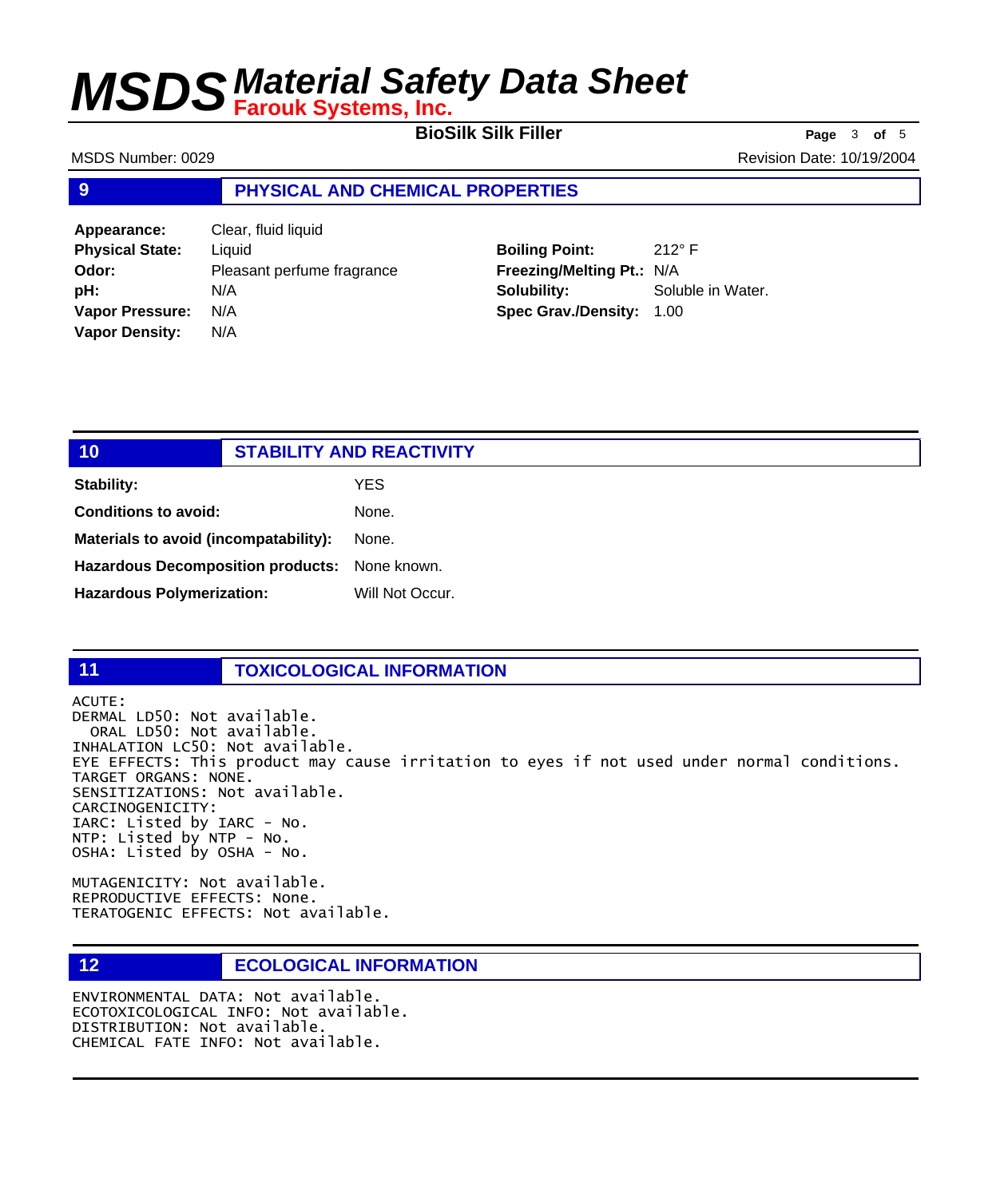**BioSilk Silk Filler Page** <sup>3</sup> **of** <sup>5</sup>

MSDS Number: 0029 **Revision Date: 10/19/2004** Revision Date: 10/19/2004

### **9 PHYSICAL AND CHEMICAL PROPERTIES**

**Appearance:** Clear, fluid liquid **Physical State:** Liquid **Odor:** Pleasant perfume fragrance **pH:** N/A **Vapor Pressure:** N/A **Vapor Density:** N/A

**Boiling Point:** 212° F **Freezing/Melting Pt.:** N/A **Solubility:** Soluble in Water. **Spec Grav./Density:** 1.00

| 10 <sub>l</sub>                               | <b>STABILITY AND REACTIVITY</b> |
|-----------------------------------------------|---------------------------------|
| <b>Stability:</b>                             | <b>YES</b>                      |
| <b>Conditions to avoid:</b>                   | None.                           |
| Materials to avoid (incompatability):         | None.                           |
| Hazardous Decomposition products: None known. |                                 |
| <b>Hazardous Polymerization:</b>              | Will Not Occur.                 |
|                                               |                                 |

### **11 TOXICOLOGICAL INFORMATION**

ACUTE: DERMAL LD50: Not available. ORAL LD50: Not available. INHALATION LC50: Not available. EYE EFFECTS: This product may cause irritation to eyes if not used under normal conditions. TARGET ORGANS: NONE. SENSITIZATIONS: Not available. CARCINOGENICITY: IARC: Listed by IARC - No. NTP: Listed by NTP - No. OSHA: Listed by OSHA - No.

MUTAGENICITY: Not available. REPRODUCTIVE EFFECTS: None. TERATOGENIC EFFECTS: Not available.

### **12 ECOLOGICAL INFORMATION**

ENVIRONMENTAL DATA: Not available. ECOTOXICOLOGICAL INFO: Not available. DISTRIBUTION: Not available. CHEMICAL FATE INFO: Not available.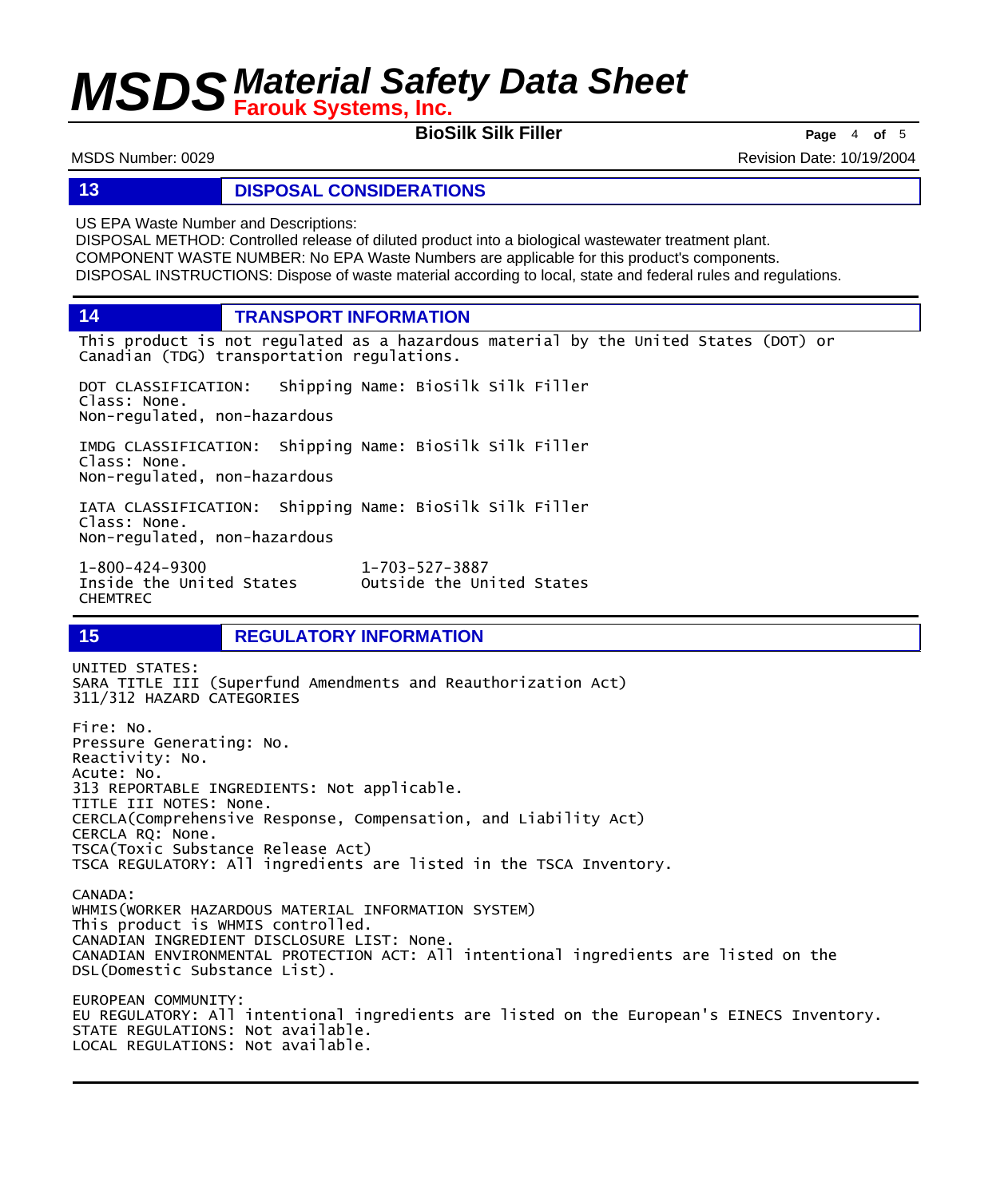**BioSilk Silk Filler Page** <sup>4</sup> **of** <sup>5</sup>

MSDS Number: 0029 **Revision Date: 10/19/2004** Revision Date: 10/19/2004

**13 DISPOSAL CONSIDERATIONS**

US EPA Waste Number and Descriptions:

DISPOSAL METHOD: Controlled release of diluted product into a biological wastewater treatment plant. COMPONENT WASTE NUMBER: No EPA Waste Numbers are applicable for this product's components. DISPOSAL INSTRUCTIONS: Dispose of waste material according to local, state and federal rules and regulations.

**14 TRANSPORT INFORMATION**

This product is not regulated as a hazardous material by the United States (DOT) or Canadian (TDG) transportation regulations.

Outside the United States

DOT CLASSIFICATION: Shipping Name: BioSilk Silk Filler Class: None. Non-regulated, non-hazardous

IMDG CLASSIFICATION: Shipping Name: BioSilk Silk Filler Class: None. Non-regulated, non-hazardous

IATA CLASSIFICATION: Shipping Name: BioSilk Silk Filler Class: None. Non-regulated, non-hazardous

1-800-424-9300 1-703-527-3887 CHEMTREC

**15 REGULATORY INFORMATION**

UNITED STATES: SARA TITLE III (Superfund Amendments and Reauthorization Act) 311/312 HAZARD CATEGORIES Fire: No. Pressure Generating: No. Reactivity: No. Acute: No. 313 REPORTABLE INGREDIENTS: Not applicable. TITLE III NOTES: None. CERCLA(Comprehensive Response, Compensation, and Liability Act) CERCLA RQ: None. TSCA(Toxic Substance Release Act) TSCA REGULATORY: All ingredients are listed in the TSCA Inventory. CANADA: WHMIS(WORKER HAZARDOUS MATERIAL INFORMATION SYSTEM) This product is WHMIS controlled. CANADIAN INGREDIENT DISCLOSURE LIST: None. CANADIAN ENVIRONMENTAL PROTECTION ACT: All intentional ingredients are listed on the DSL(Domestic Substance List). EUROPEAN COMMUNITY: EU REGULATORY: All intentional ingredients are listed on the European's EINECS Inventory. STATE REGULATIONS: Not available. LOCAL REGULATIONS: Not available.